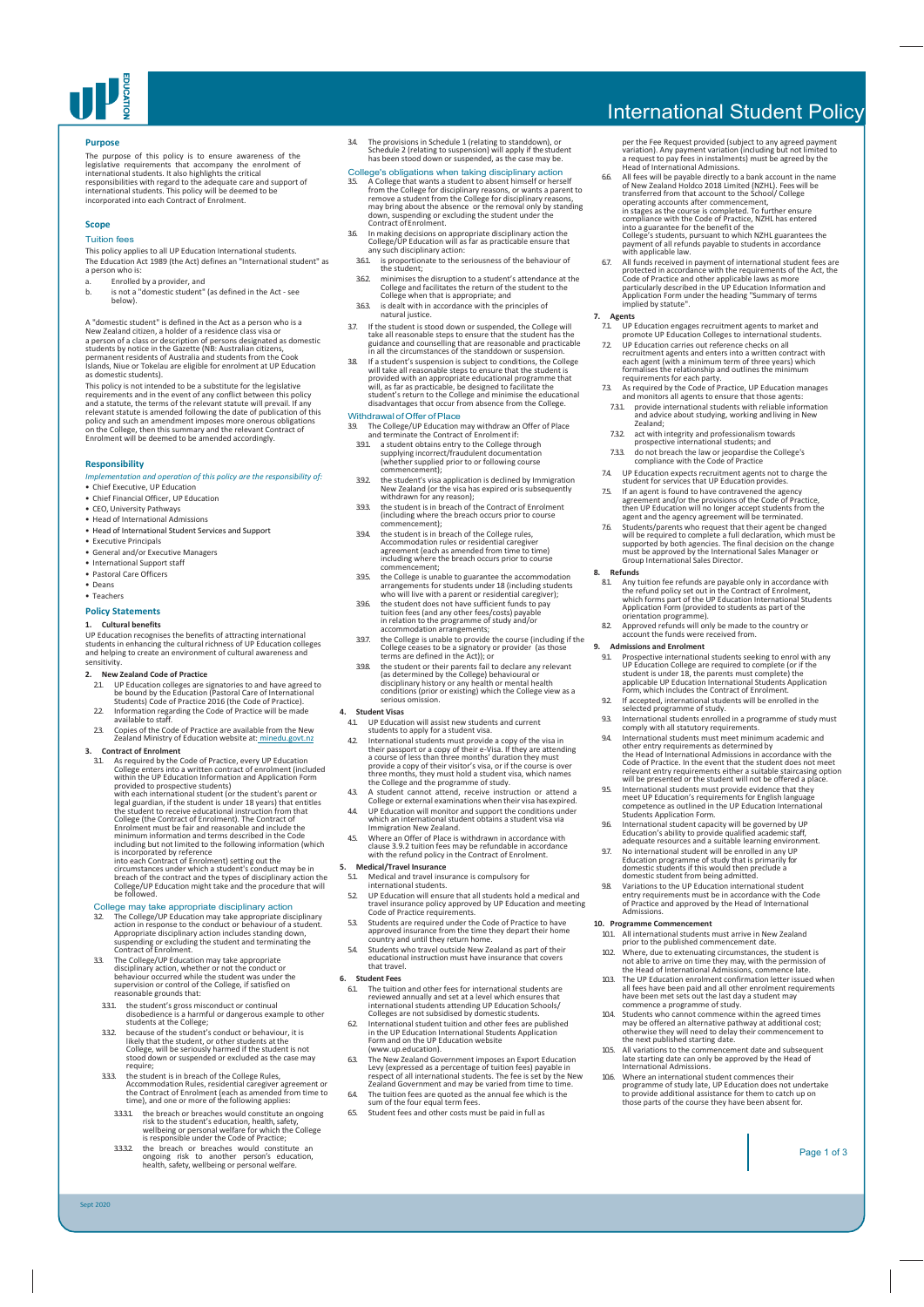

## **Purpose**

The purpose of this policy is to ensure awareness of the<br>legislative requirements that accompany the enrolment of<br>international students. It also highlights the critical<br>responsibilities with regard to the adequate care an

## **Scope**

## Tuition fees

This policy applies to all UP Education International students. The Education Act 1989 (the Act) defines an "International student" as a person who is:

- a. Enrolled by a provider, and<br>b. is not a "domestic student"
- is not a "domestic student" (as defined in the Act see below).

A "domestic student" is defined in the Act as a person who is a<br>New Zealand citizen, a holder of a residence class visa or<br>a person of a class or description of persons designated as domestic<br>students by notice in the Gaze

This policy is not intended to be a substitute for the legislative<br>requirements and in the event of any conflict between this policy<br>and a statute, the terms of the relevant statute will prevail. If any<br>relevant statute is

### **Responsibility**

## *Implementation and operation of this policy are the responsibility of:*

- Chief Executive, UP Education • Chief Financial Officer, UP Education
- 
- CEO, University Pathways Head of International Admissions
- Head of International Student Services and Support
- Executive Principals • General and/or Executive Managers
- International Support staff
- Pastoral Care Officers
- Deans
- Teachers

## **Policy Statements**

## **1. Cultural benefits**

UP Education recognises the benefits of attracting international students in enhancing the cultural richness of UP Education colleges and helping to create an environment of cultural awareness and sensitivity.

- **2. New Zealand Code of Practice** 2.1. UP Education colleges are signatories to and have agreed to be bound by the Education (Pastoral Care of International Students) Code of Practice 2016 (the Code of Practice).
- 2.2. Information regarding the Code of Practice will be made available to staff.
- 2.3. Copies of the Code of Practice are available from the New Zealand Ministry of Education website at: minedu.govt.nz

**3.** Contract of Enrolment Constrained Constrained Constrained College energies and SLA of equired by the Code of Practice, every UP Education college energies into a within the UP Education Information and Application Fo breach of the contract and the types of disciplinary action the College/UP Education might take and the procedure that will be followed.

# College may take appropriate disciplinary action<br>32 The College/UP Education may take appropriate dis

32 The College/UP Education may take appropriate disciplinary<br>action in response to the conduct or behaviour of a student.<br>Appropriate disciplinary action includes standing down,<br>suspending or excluding the student and ter

- 33. The College/UP Education may take appropriate<br>disciplinary action, whether or not the conduct or<br>behaviour occurred while the student was under the<br>supervision or control of the College, if satisfied on<br>reasonable grou
- 
- 331 the student's gross misconduct or continual<br>disobedience is a harmful or dangerous example to other<br>students at the College;<br>332 because of the student's conduct or behaviour, it is<br>likely that the student, or other st
- 3.3.3. the student is in breach of the College Rules, Accommodation Rules, residential caregiver agreement or the Contract of Enrolment (each as amended from time to time), and one or more of the following applies:
- 3.3.3.1. the breach or breaches would constitute an ongoing risk to the student's education, health, safety, wellbeing or personal welfare for which the College is responsible under the Code of Practice;
- 3.3.3.2. the breach or breaches would constitute an ongoing risk to another person's education, health, safety, wellbeing or personal welfare.

Sept 2020

3.4. The provisions in Schedule 1 (relating to standdown), or Schedule 2 (relating to suspension) will apply if the student has been stood down or suspended, as the case may be.

- College's cobilgations when taking disciplinary action<br>35. A College that wants a student to absent himself or herself<br>from the College for disciplinary reasons, or wants a parent to<br>remove a student from the College for
- 3.6. In making decisions on appropriate disciplinary action the College/UP Education will as far as practicable ensure that any such disciplinary action:
- 3.5.1. Expression and the seriousness of the behaviour of<br>the student:
- the student;<br>minimises the disruption to a student's attendance at the<br>College and facilitates the return of the student to the<br>College when that is appropriate; and<br>363. is dealt with in accordance with the principles of
- 
- 
- natural justice.<br>
In the student is stood down or suspended, the College will<br>
the student is stood down or suspended, the College will<br>
gludance and counselling that are reasonable and practicable<br>
in all the circumstance

- Withdrawal of Offer of Place<br>
The College/UP Education may withdraw an Offer of Place<br>
and terminate the Contract of Enrolment if:<br>
391. a student obtains entry to the College through<br>
supplying incorrect/fraudulent docume
- 
- 
- 3.9.3. the student is in breach of the Contract of Enrolment (including where the breach occurs prior to course commencement);
- 3.9.4. the student is in breach of the College rules, Accommodation rules or residential caregiver agreement (each as amended from time to time) including where the breach occurs prior to course commencement;
- 3.9.5. the College is unable to guarantee the accommodation arrangements for students under 18 (including students who will live with a parent or residential caregiver);
- 3.9.6. the student does not have sufficient funds to pay tuition fees (and any other fees/costs) payable in relation to the programme of study and/or accommodation arrangements;
- 3.9.7. the College is unable to provide the course (including if the College ceases to be a signatory or provider (as those terms are defined in the Act)); or
- the student or their parents fail to declare any relevant<br>(as determined by the College) behavioural or<br>disciplinary history or any health or mental health<br>conditions (prior or existing) which the College view as a<br>serious

- 
- 4. Student Visas<br>
21 LIP Education will assist new students and current<br>
11 UP Education will assist new students and current<br>
12 LIE international students must provide a copy of the visa in<br>
their passport or a copy of
- 
- 
- 4.5. Where an Offer of Place is withdrawn in accordance with clause 3.9.2 tuition fees may be refundable in accordance with the refund policy in the Contract of Enrolment.

# **5. Medical/Travel Insurance**

- Medical and travel insurance is compulsory for<br>international students.
- international students.<br>
S2 UP Education will ensure that all students hold a medical and<br>
travel insurance policy approved by UP Education and meeting<br>
Code of Practice requirements.<br>
S3 Students are required under the Co
- 
- 

### **6. Student Fees**

- 61 The tuition and other fees for international students are<br>reviewed annually and set at a level which ensures that<br>international students attending UP Education Schools/<br>Colleges are not subsidised by domestic students.<br>
- Form and on the UP Education website (www.up.education).
- 63. The New Zealand Government imposes an Export Education<br>Levy (expressed as a percentage of tuition fees) payable in<br>respect of all international students. The fee is set by the New<br>Zealand Government and may be varied f
- 6.4. The tuition fees are quoted as the annual fee which is the sum of the four equal term fees.
- 6.5. Student fees and other costs must be paid in full as

# International Student Policy

per the Fee Request provided (subject to any agreed payment variation). Any payment variation (including but not limited to a request to pay fees in instalments) must be agreed by the Head of International Admissions.

- 6.6. All fees will be payable directly to a bank account in the name of New Zealand Holdco 2018 Limited (NZHL). Fees will be<br>transferred from that account to the School/ College<br>operating accounts after commencement,<br>in stages as the course is completed. To further ensure
- compliance with the Code of Practice, NZHL has entered<br>compliance with the Code of Practice, NZHL has entered<br>college's students, pursuant to which NZHL gurarantes the<br>payment of all refunds payable to students in accordan

- 
- 7. Agents<br>
2. UP Education engages recruitment agents to market and<br>
2. UP Education colleges to international students.<br>
2. UP Education carries out reference checks on all<br>
1. The Caustin endiation is electioned in the
- 
- 
- 7.3.2. act with integrity and professionalism towards prospective international students; and
- 7.3.3. do not breach the law or jeopardise the College's compliance with the Code of Practice
- 7.4. UP Education expects recruitment agents not to charge the student for services that UP Education provides.
- 
- student for services that UP Education provides.<br>
75. If an agent is found to have contravered the agency<br>
agreement and/or the provisions of the Code of Practice,<br>
then UP Education will no longer accept students from the
- **8. Refunds**
- 8.1. Any tuition fee refunds are payable only in accordance with the refund policy set out in the Contract of Enrolment, which forms part of the UP Education International Students Application Form (provided to students as part of the orientation programme). 8.2. Approved refunds will only be made to the country or
- E. Approved retained will only be made and account the funds were received from.
- 

**10. Programme Commencement**

- **9. Admissions and Enrolment**<br>
91. **Prospective international students seeking to enrol with any<br>
UP Education College are required to complete (or if the<br>
student is under 18, the parents must complete) the<br>
applicable**
- 
- 9.2. If accepted, international students will be enrolled in the selected programme of study. 9.3. International students enrolled in a programme of study must comply with all statutory requirements.
- 94. International students must meet minimum academic and<br>other entry requirements as determined by<br>the Head of International Admissions in accordance with the<br>Code of Practice. In the event that the student does not meet<br>
- 
- 9.6. International student capacity will be governed by UP Education's ability to provide qualified academic staff, adequate resources and a suitable learning environment.
- 9.7. No international student will be enrolled in any UP Education programme of study that is primarily for domestic students if this would then preclude a domestic student from being admitted.
- 9.8. Variations to the UP Education international student entry requirements must be in accordance with the Code of Practice and approved by the Head of International Admissions.

10.1. All international students must arrive in New Zealand prior to the published commencement date.

102 Where, due to extenuating circumstances, the student is<br>not able to arrive on time they may, with the permission of<br>the Head of International Admissions, commence late.<br>103. The UP Education enrolment confirmation lett

commence a programme of study.<br>
Students who cannot commence within the agreed times<br>
may be offered an alternative pathway at additional cost;<br>
otherwise they will need to delay their commencement to<br>
the next published s

10.5. All variations to the commencement date and subsequent late starting date can only be approved by the Head of International Admissions.

10.6. Where an international student commences their programme of study late, UP Education does not undertake to provide additional assistance for them to catch up on those parts of the course they have been absent for.

Page 1 of 3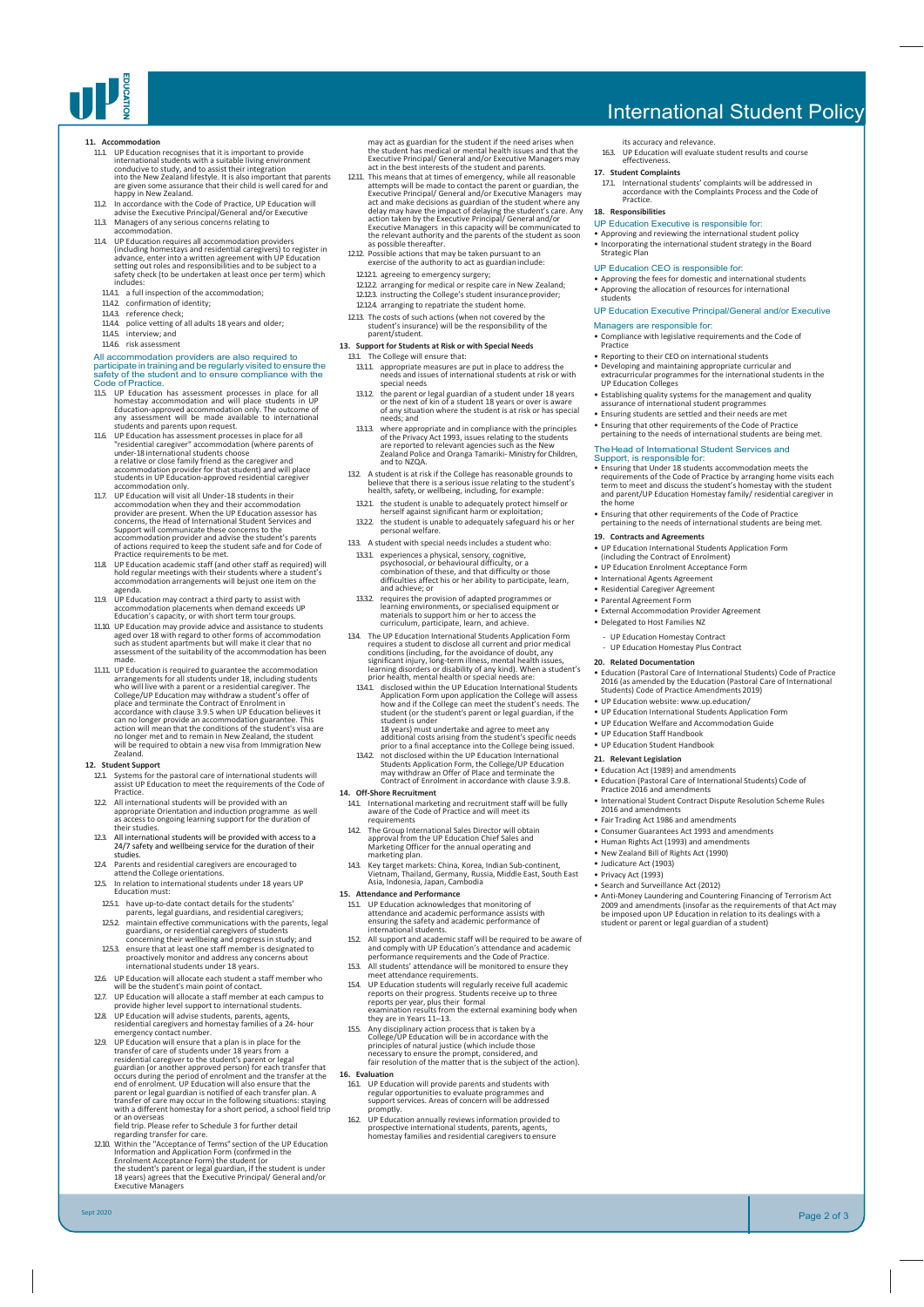

- 11. Accommodation recognises that it is important to provide<br>international students with a suitable living environment<br>conducive to study, and to assist their integration<br>into the New Zealand lifestyle. It is also importan
- 11.2. In accordance with the Code of Practice, UP Education will advise the Executive Principal/General and/or Executive 11.3. Managers of any serious concerns relating to accommodation.
- 
- 11.4. UP Education requires all accommodation providers (including homestays and residential caregivers) to register in<br>advance, enter into a written agreement with UP Education<br>setting out roles and responsibilities and to be subject to a<br>safety check (to be undertaken at leas
- includes: 11.4.1. a full inspection of the accommodation;
- 
- 
- 11.4.2. confirmation of identity; 11.4.3. reference check; 11.4.4. police vetting of all adults 18 years and older;
- 11.45. interview; and<br>11.46. risk assessment

- 
- 1146. risk assessment<br>
all and accommodation providers are also required to<br>
All accommodation providers are also required to<br>
participate in training and be regularly visited to ensure the<br>
safety of the student and to e
- 117. UP Education will visit all Under-18 students in their<br>accommodation when they and their accommodation<br>provider are present. When the UP Education assessor has<br>concerns, the Head of International Student Services and Support will communicate these concerns to the accommodation provider and advise the student's parents of actions required to keep the student safe and for Code of Practice requirements to be met.
- 11.8. UP Education academic staff (and other staff as required) will hold regular meetings with their students where a student's accommodation arrangements will be just one item on the agenda.
- 11.9. UP Education may contract a third party to assist with accommodation placements when demand exceeds UP Education's capacity, or with short term tour groups.
- 11.10. UP Education may provide advice and assistance to students<br>aged over 18 with regard to other forms of accommodation<br>such as student apartments but will make it clear that no<br>assessment of the suitability of the acco made. 11.11. UP Education is required to guarantee the accommodation
- arrangements for all students under 18, including students<br>who will live with a parent or a residential caregiver. The<br>College/UP Education may withdraw a student's offer of<br>place and terminate the Contract of Enrolment in can no longer provide an accommodation guarantee. This action will mean that the conditions of the student's visa are no longer met and to remain in New Zealand, the student will be required to obtain a new visa from Immigration New will be r<br>Zealand

# **12. Student Support**

Sept 2020

- 12.1. Systems for the pastoral care of international students will assist UP Education to meet the requirements of the Code of Practice.
- 12.2. All international students will be provided with an appropriate Orientation and induction programme as well as access to ongoing learning support for the duration of their studies.
- 12.3. All international students will be provided with access to a 24/7 safety and wellbeing service for the duration of their studies.
- 12.4. Parents and residential caregivers are encouraged to attend the College orientations. 12.5. In relation to international students under 18 years UP Education must:
- 125.1. have up-to-date contact details for the students
- parents, legal guardians, and residential caregivers;
- 1252 maintain effective communications with the parents, legal<br>guardians, or residential caregivers of students<br>concerning their wellbeing and progress in study; and<br>1253 ensure that at least one staff member is designated
- 12.6. UP Education will allocate each student a staff member who will be the student's main point of contact.
- 
- will be the student's main point of contact.<br>
127. UP Education will allocate a staff member at each campus to<br>
provide higher level support to international students.<br>
128. UP Education will advise students, parents, agen
- 129. UP Education will ensure that a plan is in place for the transfer of care of students under 18 years from a<br>residential caregiver to the students parent or legal<br>guardian (or another approved person) for each transfer

regarding transfer for care. 12.10. Within the "Acceptance of Terms" section of the UP Education Information and Application Form (confirmed in the<br>Enrolment Acceptance Form) the student (or<br>the student's parent or legal guardian, if the student is under<br>18 years) agrees that the Executive Principal/ General and/or<br>Ex

may act as guardian for the student if the need arises when<br>the student has medical or mental health issues and that the<br>Executive Principal/ General and/or Executive Managers may<br>act in the best interests of the student a

- 1211. This means that at times of emergency, while all reasonable<br>attempts will be made to contact the parent or guardian, the<br>Executive Principal/ General and/or Executive Managers may<br>act and make decisions as guardian Executive Managers in this capacity will be communicated to the relevant authority and the parents of the student as soon as possible thereafter.
- 12.12. Possible actions that may be taken pursuant to an exercise of the authority to act as guardianinclude:
- 12.12.1. agreeing to emergency surgery;
- 12.12.2. arranging for medical or respite care in New Zealand; 12.12.3. instructing the College's student insuranceprovider; 12.12.4. arranging to repatriate the student home.
- 12.13. The costs of such actions (when not covered by the student's insurance) will be the responsibility of the parent/student.
- **13. Support for Students at Risk or with Special Needs**
- The College will ensure that:
	- 13.1.1. appropriate measures are put in place to address the needs and issues of international students at risk or with special needs
	- 13.1.2. the parent or legal guardian of a student under 18 years or the next of kin of a student 18 years or over is aware of any situation where the student is at risk or has special needs; and
	- 131.3 where appropriate and in compliance with the principles<br>of the Privacy Act 1993, issues relating to the students<br>are reported to relevant agencies such as the New<br>Zealand Police and Oranga Tamariki-Ministry for Child and to NZQA.
- 13.2. A student is at risk if the College has reasonable grounds to believe that there is a serious issue relating to the student's health, safety, or wellbeing, including, for example:
- 13.2.1. the student is unable to adequately protect himself or herself against significant harm or exploitation;
- 13.2.2. the student is unable to adequately safeguard his or her personal welfare. 13.3. A student with special needs includes a student who:
- 13.3.1. experiences a physical, sensory, cognitive, psychosocial, or behavioural difficulty, or a combination of these, and that difficulty or those difficulties affect his or her ability to participate, learn, and achieve; or
- 13.3.2. requires the provision of adapted programmes or learning environments, or specialised equipment or materials to support him or her to access the curriculum, participate, learn, and achieve.
- The UP Education International Students Application Form<br>requires a student to disclose all current and prior medical<br>conditions (including, for the avoidance of doubt, any<br>significant injury, long-term illness, mental he
- student is under<br>18 years) must undertake and agree to meet any<br>additional costs arising from the student's specific needs
- additional costs arising from the student's specific needs prior to a final acceptance into the College being issued. 13.4.2. not disclosed within the UP Education International Students Application Form, the College/UP Education may withdraw an Offer of Place and terminate the Contract of Enrolment in accordance with clause 3.9.8.
- **14. Off-Shore Recruitment**
- 14.1. International marketing and recruitment staff will be fully aware of the Code of Practice and will meet its requirements<br>The Group International Sales Director will obtain
- 14.2. The Group International Sales Director will obtain approval from the UP Education Chief Sales and Marketing Officer for the annual operating and marketing plan.
- 14.3. Key target markets: China, Korea, Indian Sub-continent, Vietnam, Thailand, Germany, Russia, Middle East, South East Asia, Indonesia, Japan, Cambodia
- **15. Attendance and Performance**
- 15.1. UP Education acknowledges that monitoring of attendance and academic performance assists with ensuring the safety and academic performance of international students.
- 15.2. All support and academic staff will be required to be aware of and comply with UP Education's attendance and academic
- 
- 
- performance requirements and the Code of Practice.<br>
All students' attendance will be monitored to ensure they<br>
meet attendance requirements.<br>
154. UP Education students will regularly receive full academic<br>
reports on thei
- 
- **16. Evaluation**<br>
16.1. UP Education will provide parents and students with<br>
regular opportunities to evaluate programmes and<br>
support services. Areas of concern will be addressed<br>
promptly.
- 16.2. UP Education annually reviews information provided to prospective international students, parents, agents, homestay families and residential caregivers toensure

# International Student Policy

- its accuracy and relevance. 16.3. UP Education will evaluate student results and course effectiveness.
- -
- **17. Student Complaints**<br>
17.1. International students' complaints will be addressed in<br>
accordance with the Complaints Process and the Code of<br>
Practice.
- **18. Responsibilities**
- UP Education Executive is responsible for:

• Approving and reviewing the international student policy • Incorporating the international student strategy in the Board Strategic Plan

- 
- 
- UP Education CEO is responsible for: Approving the fees for domestic and international students Approving the allocation of resources for international students

## UP Education Executive Principal/General and/or Executive

- Managers are responsible for: • Compliance with legislative requirements and the Code of Practice
- 
- Reporting to their CEO on international students Developing and maintaining appropriate curricular and extracurricular programmes for the international students in the UP Education Colleges
- 
- Establishing quality systems for the management and quality assurance of international student programmes Ensuring students are settled and their needs are met
- 
- Ensuring that other requirements of the Code of Practice pertaining to the needs of international students are being met.

# The Head of International Student Services and<br>Support, is responsible for:

- Ensuring that Under 18 students accommodation meets the requirements of the Code of Practice by arranging home visits each term to meet and discuss the student's homestay with the student and parent/UP Education Homestay family/ residential caregiver in
- the home
- Ensuring that other requirements of the Code of Practice pertaining to the needs of international students are being met.
- **19. Contracts and Agreements**
- UP Education International Students Application Form (including the Contract of Enrolment) UP Education Enrolment Acceptance Form
- 
- International Agents Agreement
- Residential Caregiver Agreement
- 
- Parental Agreement Form External Accommodation Provider Agreement
- Delegated to Host Families NZ
	- UP Education Homestay Contract - UP Education Homestay Plus Contract
- **20. Related Documentation**
- 

• UP Education Staff Handbook • UP Education Student Handbook **21. Relevant Legislation** • Education Act (1989) and amendments

• Education (Pastoral Care of International Students) Code of Practice 2016 (as amended by the Education (Pastoral Care of International Students) Code of Practice Amendments 2019) • UP Education website: [www.up.education/](http://www.up.education/)

• UP Education International Students Application Form • UP Education Welfare and Accommodation Guide

• Education (Pastoral Care of International Students) Code of Practice 2016 and amendments • International Student Contract Dispute Resolution Scheme Rules 2016 and amendments • Fair Trading Act 1986 and amendments

• Anti-Money Laundering and Countering Financing of Terrorism Act<br>2009 and amendments (insofar as the requirements of that Act may<br>be imposed upon UP Education in relation to its dealings with a<br>student or parent or legal

Page 2 of 3

• Consumer Guarantees Act 1993 and amendments • Human Rights Act (1993) and amendments • New Zealand Bill of Rights Act (1990) • Judicature Act (1903) • Privacy Act (1993) • Frivacy Act (2000)<br>• Search and Surveillance Act (2012)